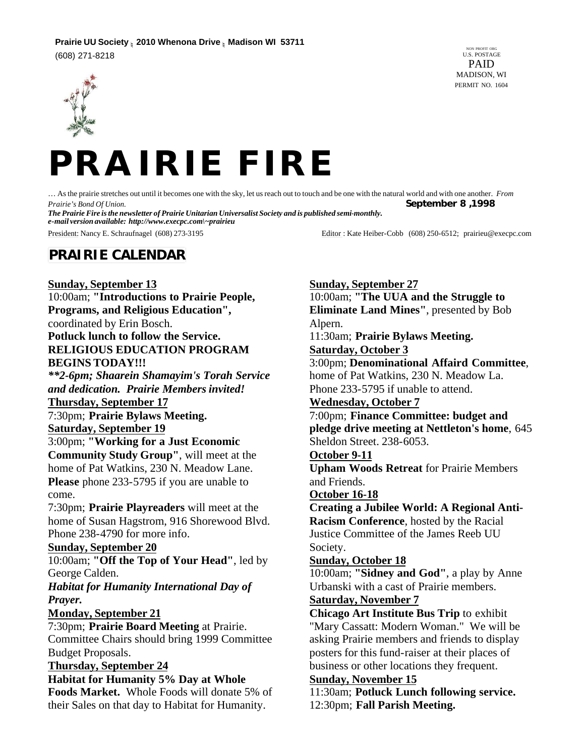## **Prairie UU Society n 2010 Whenona Drive n Madison WI 53711**

(608) 271-8218







… As the prairie stretches out until it becomes one with the sky, let us reach out to touch and be one with the natural world and with one another. *From Prairie's Bond Of Union.* **September 8 ,1998**

*The Prairie Fire is the newsletter of Prairie Unitarian Universalist Society and is published semi-monthly. e-mail version available: http://www.execpc.com\~prairieu*

President: Nancy E. Schraufnagel (608) 273-3195 Editor : Kate Heiber-Cobb (608) 250-6512; prairieu@execpc.com

# **PRAIRIE CALENDAR**

**Sunday, September 13** 10:00am; **"Introductions to Prairie People, Programs, and Religious Education",**  coordinated by Erin Bosch. **Potluck lunch to follow the Service. RELIGIOUS EDUCATION PROGRAM BEGINS TODAY!!!** *\*\*2-6pm; Shaarein Shamayim's Torah Service and dedication. Prairie Members invited!* **Thursday, September 17** 7:30pm; **Prairie Bylaws Meeting. Saturday, September 19** 3:00pm; **"Working for a Just Economic Community Study Group"**, will meet at the home of Pat Watkins, 230 N. Meadow Lane. **Please** phone 233-5795 if you are unable to come. 7:30pm; **Prairie Playreaders** will meet at the home of Susan Hagstrom, 916 Shorewood Blvd. Phone 238-4790 for more info. **Sunday, September 20** 10:00am; **"Off the Top of Your Head"**, led by George Calden. *Habitat for Humanity International Day of Prayer.* **Monday, September 21** 7:30pm; **Prairie Board Meeting** at Prairie. Committee Chairs should bring 1999 Committee Budget Proposals. **Thursday, September 24 Habitat for Humanity 5% Day at Whole Foods Market.** Whole Foods will donate 5% of their Sales on that day to Habitat for Humanity.

**Sunday, September 27** 10:00am; **"The UUA and the Struggle to Eliminate Land Mines"**, presented by Bob Alpern. 11:30am; **Prairie Bylaws Meeting. Saturday, October 3** 3:00pm; **Denominational Affaird Committee**, home of Pat Watkins, 230 N. Meadow La. Phone 233-5795 if unable to attend. **Wednesday, October 7** 7:00pm; **Finance Committee: budget and pledge drive meeting at Nettleton's home**, 645 Sheldon Street. 238-6053. **October 9-11 Upham Woods Retreat** for Prairie Members and Friends. **October 16-18 Creating a Jubilee World: A Regional Anti-Racism Conference**, hosted by the Racial Justice Committee of the James Reeb UU Society. **Sunday, October 18** 10:00am; **"Sidney and God"**, a play by Anne Urbanski with a cast of Prairie members. **Saturday, November 7 Chicago Art Institute Bus Trip** to exhibit "Mary Cassatt: Modern Woman." We will be asking Prairie members and friends to display posters for this fund-raiser at their places of business or other locations they frequent. **Sunday, November 15**

11:30am; **Potluck Lunch following service.** 12:30pm; **Fall Parish Meeting.**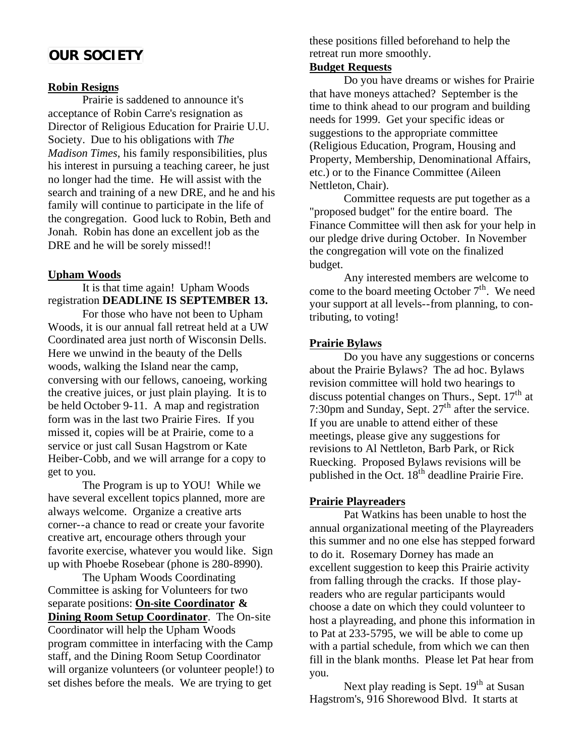# **OUR SOCIETY**

#### **Robin Resigns**

Prairie is saddened to announce it's acceptance of Robin Carre's resignation as Director of Religious Education for Prairie U.U. Society. Due to his obligations with *The Madison Times*, his family responsibilities, plus his interest in pursuing a teaching career, he just no longer had the time. He will assist with the search and training of a new DRE, and he and his family will continue to participate in the life of the congregation. Good luck to Robin, Beth and Jonah. Robin has done an excellent job as the DRE and he will be sorely missed!!

#### **Upham Woods**

It is that time again! Upham Woods registration **DEADLINE IS SEPTEMBER 13.**

For those who have not been to Upham Woods, it is our annual fall retreat held at a UW Coordinated area just north of Wisconsin Dells. Here we unwind in the beauty of the Dells woods, walking the Island near the camp, conversing with our fellows, canoeing, working the creative juices, or just plain playing. It is to be held October 9-11. A map and registration form was in the last two Prairie Fires. If you missed it, copies will be at Prairie, come to a service or just call Susan Hagstrom or Kate Heiber-Cobb, and we will arrange for a copy to get to you.

The Program is up to YOU! While we have several excellent topics planned, more are always welcome. Organize a creative arts corner--a chance to read or create your favorite creative art, encourage others through your favorite exercise, whatever you would like. Sign up with Phoebe Rosebear (phone is 280-8990).

The Upham Woods Coordinating Committee is asking for Volunteers for two separate positions: **On-site Coordinator & Dining Room Setup Coordinator**. The On-site Coordinator will help the Upham Woods program committee in interfacing with the Camp staff, and the Dining Room Setup Coordinator will organize volunteers (or volunteer people!) to set dishes before the meals. We are trying to get

these positions filled beforehand to help the retreat run more smoothly.

#### **Budget Requests**

Do you have dreams or wishes for Prairie that have moneys attached? September is the time to think ahead to our program and building needs for 1999. Get your specific ideas or suggestions to the appropriate committee (Religious Education, Program, Housing and Property, Membership, Denominational Affairs, etc.) or to the Finance Committee (Aileen Nettleton, Chair).

Committee requests are put together as a "proposed budget" for the entire board. The Finance Committee will then ask for your help in our pledge drive during October. In November the congregation will vote on the finalized budget.

Any interested members are welcome to come to the board meeting October  $7<sup>th</sup>$ . We need your support at all levels--from planning, to contributing, to voting!

#### **Prairie Bylaws**

Do you have any suggestions or concerns about the Prairie Bylaws? The ad hoc. Bylaws revision committee will hold two hearings to discuss potential changes on Thurs., Sept.  $17<sup>th</sup>$  at 7:30pm and Sunday, Sept. 27<sup>th</sup> after the service. If you are unable to attend either of these meetings, please give any suggestions for revisions to Al Nettleton, Barb Park, or Rick Ruecking. Proposed Bylaws revisions will be published in the Oct. 18<sup>th</sup> deadline Prairie Fire.

#### **Prairie Playreaders**

Pat Watkins has been unable to host the annual organizational meeting of the Playreaders this summer and no one else has stepped forward to do it. Rosemary Dorney has made an excellent suggestion to keep this Prairie activity from falling through the cracks. If those playreaders who are regular participants would choose a date on which they could volunteer to host a playreading, and phone this information in to Pat at 233-5795, we will be able to come up with a partial schedule, from which we can then fill in the blank months. Please let Pat hear from you.

Next play reading is Sept.  $19<sup>th</sup>$  at Susan Hagstrom's, 916 Shorewood Blvd. It starts at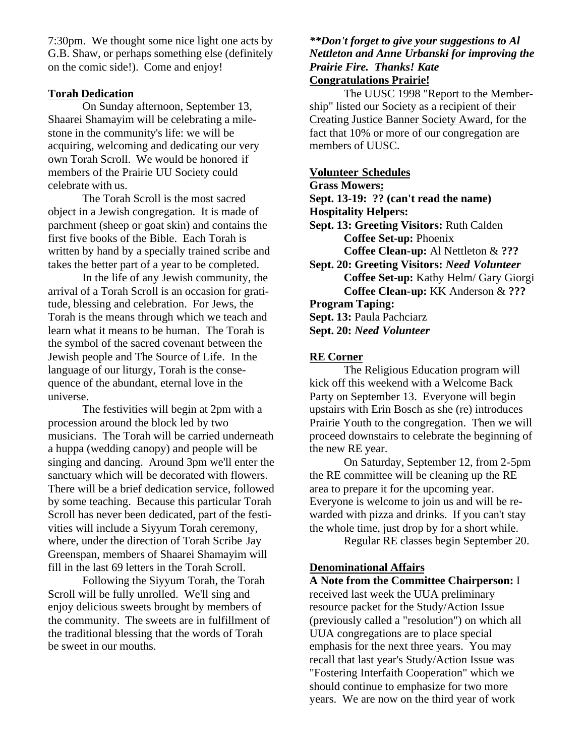7:30pm. We thought some nice light one acts by G.B. Shaw, or perhaps something else (definitely on the comic side!). Come and enjoy!

#### **Torah Dedication**

On Sunday afternoon, September 13, Shaarei Shamayim will be celebrating a milestone in the community's life: we will be acquiring, welcoming and dedicating our very own Torah Scroll. We would be honored if members of the Prairie UU Society could celebrate with us.

The Torah Scroll is the most sacred object in a Jewish congregation. It is made of parchment (sheep or goat skin) and contains the first five books of the Bible. Each Torah is written by hand by a specially trained scribe and takes the better part of a year to be completed.

In the life of any Jewish community, the arrival of a Torah Scroll is an occasion for gratitude, blessing and celebration. For Jews, the Torah is the means through which we teach and learn what it means to be human. The Torah is the symbol of the sacred covenant between the Jewish people and The Source of Life. In the language of our liturgy, Torah is the consequence of the abundant, eternal love in the universe.

The festivities will begin at 2pm with a procession around the block led by two musicians. The Torah will be carried underneath a huppa (wedding canopy) and people will be singing and dancing. Around 3pm we'll enter the sanctuary which will be decorated with flowers. There will be a brief dedication service, followed by some teaching. Because this particular Torah Scroll has never been dedicated, part of the festivities will include a Siyyum Torah ceremony, where, under the direction of Torah Scribe Jay Greenspan, members of Shaarei Shamayim will fill in the last 69 letters in the Torah Scroll.

Following the Siyyum Torah, the Torah Scroll will be fully unrolled. We'll sing and enjoy delicious sweets brought by members of the community. The sweets are in fulfillment of the traditional blessing that the words of Torah be sweet in our mouths.

#### *\*\*Don't forget to give your suggestions to Al Nettleton and Anne Urbanski for improving the Prairie Fire. Thanks! Kate* **Congratulations Prairie!**

The UUSC 1998 "Report to the Membership" listed our Society as a recipient of their Creating Justice Banner Society Award, for the fact that 10% or more of our congregation are members of UUSC.

#### **Volunteer Schedules**

**Grass Mowers:**

**Sept. 13-19: ?? (can't read the name)**

- **Hospitality Helpers:**
- **Sept. 13: Greeting Visitors:** Ruth Calden **Coffee Set-up:** Phoenix **Coffee Clean-up:** Al Nettleton & **???**
- **Sept. 20: Greeting Visitors:** *Need Volunteer* **Coffee Set-up:** Kathy Helm/ Gary Giorgi **Coffee Clean-up:** KK Anderson & **???**
- **Program Taping:**

**Sept. 13:** Paula Pachciarz

**Sept. 20:** *Need Volunteer*

#### **RE Corner**

The Religious Education program will kick off this weekend with a Welcome Back Party on September 13. Everyone will begin upstairs with Erin Bosch as she (re) introduces Prairie Youth to the congregation. Then we will proceed downstairs to celebrate the beginning of the new RE year.

On Saturday, September 12, from 2-5pm the RE committee will be cleaning up the RE area to prepare it for the upcoming year. Everyone is welcome to join us and will be rewarded with pizza and drinks. If you can't stay the whole time, just drop by for a short while.

Regular RE classes begin September 20.

#### **Denominational Affairs**

**A Note from the Committee Chairperson:** I received last week the UUA preliminary resource packet for the Study/Action Issue (previously called a "resolution") on which all UUA congregations are to place special emphasis for the next three years. You may recall that last year's Study/Action Issue was "Fostering Interfaith Cooperation" which we should continue to emphasize for two more years. We are now on the third year of work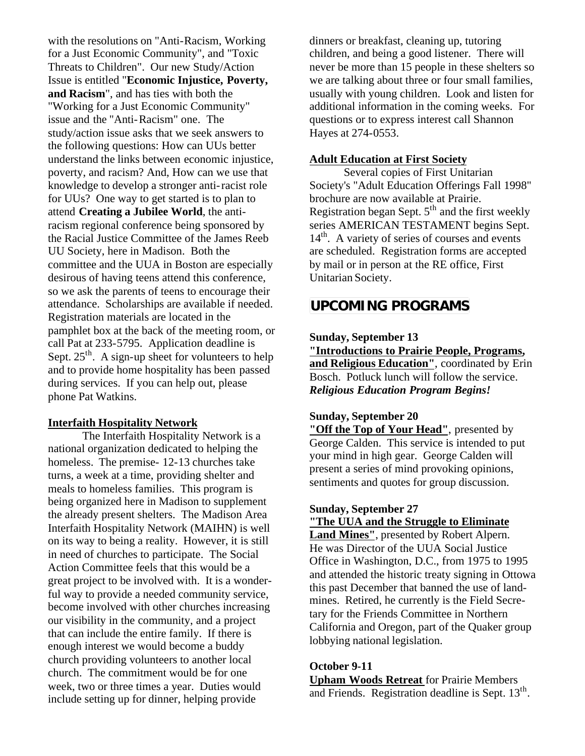with the resolutions on "Anti-Racism, Working for a Just Economic Community", and "Toxic Threats to Children". Our new Study/Action Issue is entitled "**Economic Injustice, Poverty, and Racism**", and has ties with both the "Working for a Just Economic Community" issue and the "Anti-Racism" one. The study/action issue asks that we seek answers to the following questions: How can UUs better understand the links between economic injustice, poverty, and racism? And, How can we use that knowledge to develop a stronger anti-racist role for UUs? One way to get started is to plan to attend **Creating a Jubilee World**, the antiracism regional conference being sponsored by the Racial Justice Committee of the James Reeb UU Society, here in Madison. Both the committee and the UUA in Boston are especially desirous of having teens attend this conference, so we ask the parents of teens to encourage their attendance. Scholarships are available if needed. Registration materials are located in the pamphlet box at the back of the meeting room, or call Pat at 233-5795. Application deadline is Sept.  $25<sup>th</sup>$ . A sign-up sheet for volunteers to help and to provide home hospitality has been passed during services. If you can help out, please phone Pat Watkins.

#### **Interfaith Hospitality Network**

The Interfaith Hospitality Network is a national organization dedicated to helping the homeless. The premise- 12-13 churches take turns, a week at a time, providing shelter and meals to homeless families. This program is being organized here in Madison to supplement the already present shelters. The Madison Area Interfaith Hospitality Network (MAIHN) is well on its way to being a reality. However, it is still in need of churches to participate. The Social Action Committee feels that this would be a great project to be involved with. It is a wonderful way to provide a needed community service, become involved with other churches increasing our visibility in the community, and a project that can include the entire family. If there is enough interest we would become a buddy church providing volunteers to another local church. The commitment would be for one week, two or three times a year. Duties would include setting up for dinner, helping provide

dinners or breakfast, cleaning up, tutoring children, and being a good listener. There will never be more than 15 people in these shelters so we are talking about three or four small families, usually with young children. Look and listen for additional information in the coming weeks. For questions or to express interest call Shannon Hayes at 274-0553.

#### **Adult Education at First Society**

Several copies of First Unitarian Society's "Adult Education Offerings Fall 1998" brochure are now available at Prairie. Registration began Sept.  $5<sup>th</sup>$  and the first weekly series AMERICAN TESTAMENT begins Sept.  $14<sup>th</sup>$ . A variety of series of courses and events are scheduled. Registration forms are accepted by mail or in person at the RE office, First Unitarian Society.

# **UPCOMING PROGRAMS**

## **Sunday, September 13 "Introductions to Prairie People, Programs, and Religious Education"**, coordinated by Erin Bosch. Potluck lunch will follow the service. *Religious Education Program Begins!*

## **Sunday, September 20**

**"Off the Top of Your Head"**, presented by George Calden. This service is intended to put your mind in high gear. George Calden will present a series of mind provoking opinions, sentiments and quotes for group discussion.

#### **Sunday, September 27 "The UUA and the Struggle to Eliminate**

**Land Mines"**, presented by Robert Alpern. He was Director of the UUA Social Justice Office in Washington, D.C., from 1975 to 1995 and attended the historic treaty signing in Ottowa this past December that banned the use of landmines. Retired, he currently is the Field Secretary for the Friends Committee in Northern California and Oregon, part of the Quaker group lobbying national legislation.

## **October 9-11**

**Upham Woods Retreat** for Prairie Members and Friends. Registration deadline is Sept. 13<sup>th</sup>.